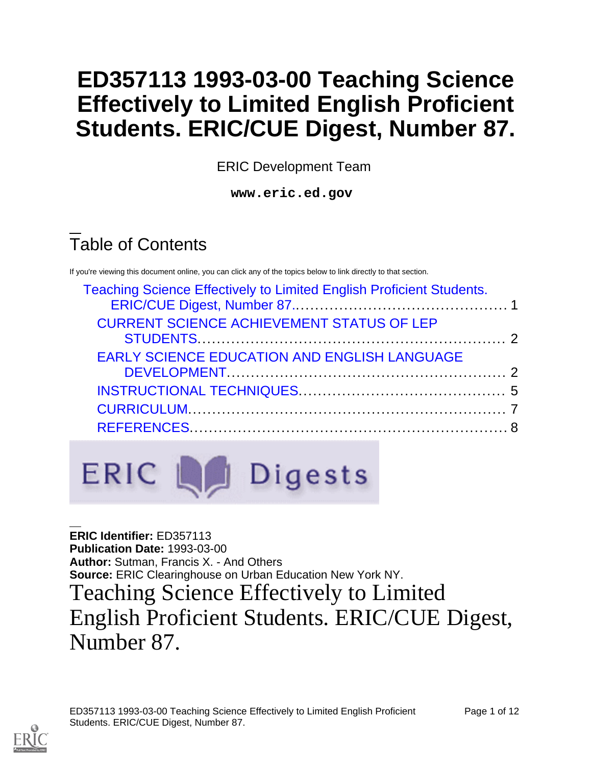# **ED357113 1993-03-00 Teaching Science Effectively to Limited English Proficient Students. ERIC/CUE Digest, Number 87.**

ERIC Development Team

**www.eric.ed.gov**

# Table of Contents

If you're viewing this document online, you can click any of the topics below to link directly to that section.

| <b>Teaching Science Effectively to Limited English Proficient Students.</b><br><b>CURRENT SCIENCE ACHIEVEMENT STATUS OF LEP</b><br><b>EARLY SCIENCE EDUCATION AND ENGLISH LANGUAGE</b> |  |  |
|----------------------------------------------------------------------------------------------------------------------------------------------------------------------------------------|--|--|
|                                                                                                                                                                                        |  |  |
|                                                                                                                                                                                        |  |  |
|                                                                                                                                                                                        |  |  |



<span id="page-0-0"></span>**ERIC Identifier:** ED357113 **Publication Date:** 1993-03-00 **Author:** Sutman, Francis X. - And Others **Source:** ERIC Clearinghouse on Urban Education New York NY. Teaching Science Effectively to Limited English Proficient Students. ERIC/CUE Digest, Number 87.

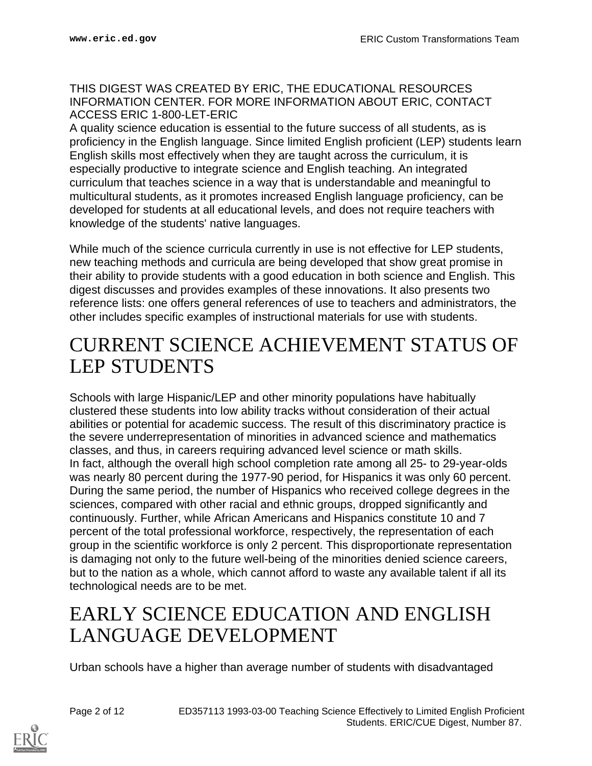### THIS DIGEST WAS CREATED BY ERIC, THE EDUCATIONAL RESOURCES INFORMATION CENTER. FOR MORE INFORMATION ABOUT ERIC, CONTACT ACCESS ERIC 1-800-LET-ERIC

A quality science education is essential to the future success of all students, as is proficiency in the English language. Since limited English proficient (LEP) students learn English skills most effectively when they are taught across the curriculum, it is especially productive to integrate science and English teaching. An integrated curriculum that teaches science in a way that is understandable and meaningful to multicultural students, as it promotes increased English language proficiency, can be developed for students at all educational levels, and does not require teachers with knowledge of the students' native languages.

While much of the science curricula currently in use is not effective for LEP students, new teaching methods and curricula are being developed that show great promise in their ability to provide students with a good education in both science and English. This digest discusses and provides examples of these innovations. It also presents two reference lists: one offers general references of use to teachers and administrators, the other includes specific examples of instructional materials for use with students.

## <span id="page-1-0"></span>CURRENT SCIENCE ACHIEVEMENT STATUS OF LEP STUDENTS

Schools with large Hispanic/LEP and other minority populations have habitually clustered these students into low ability tracks without consideration of their actual abilities or potential for academic success. The result of this discriminatory practice is the severe underrepresentation of minorities in advanced science and mathematics classes, and thus, in careers requiring advanced level science or math skills. In fact, although the overall high school completion rate among all 25- to 29-year-olds was nearly 80 percent during the 1977-90 period, for Hispanics it was only 60 percent. During the same period, the number of Hispanics who received college degrees in the sciences, compared with other racial and ethnic groups, dropped significantly and continuously. Further, while African Americans and Hispanics constitute 10 and 7 percent of the total professional workforce, respectively, the representation of each group in the scientific workforce is only 2 percent. This disproportionate representation is damaging not only to the future well-being of the minorities denied science careers, but to the nation as a whole, which cannot afford to waste any available talent if all its technological needs are to be met.

## <span id="page-1-1"></span>EARLY SCIENCE EDUCATION AND ENGLISH LANGUAGE DEVELOPMENT

Urban schools have a higher than average number of students with disadvantaged

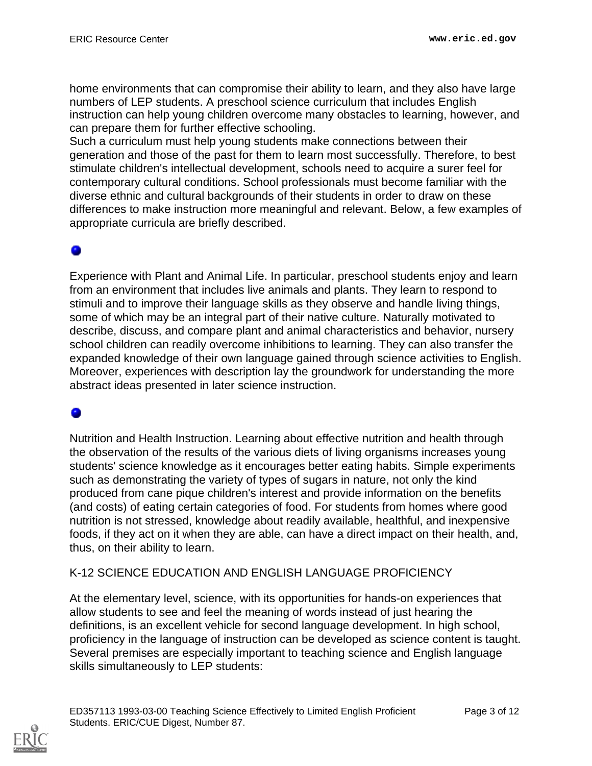home environments that can compromise their ability to learn, and they also have large numbers of LEP students. A preschool science curriculum that includes English instruction can help young children overcome many obstacles to learning, however, and can prepare them for further effective schooling.

Such a curriculum must help young students make connections between their generation and those of the past for them to learn most successfully. Therefore, to best stimulate children's intellectual development, schools need to acquire a surer feel for contemporary cultural conditions. School professionals must become familiar with the diverse ethnic and cultural backgrounds of their students in order to draw on these differences to make instruction more meaningful and relevant. Below, a few examples of appropriate curricula are briefly described.

### 0

Experience with Plant and Animal Life. In particular, preschool students enjoy and learn from an environment that includes live animals and plants. They learn to respond to stimuli and to improve their language skills as they observe and handle living things, some of which may be an integral part of their native culture. Naturally motivated to describe, discuss, and compare plant and animal characteristics and behavior, nursery school children can readily overcome inhibitions to learning. They can also transfer the expanded knowledge of their own language gained through science activities to English. Moreover, experiences with description lay the groundwork for understanding the more abstract ideas presented in later science instruction.

Nutrition and Health Instruction. Learning about effective nutrition and health through the observation of the results of the various diets of living organisms increases young students' science knowledge as it encourages better eating habits. Simple experiments such as demonstrating the variety of types of sugars in nature, not only the kind produced from cane pique children's interest and provide information on the benefits (and costs) of eating certain categories of food. For students from homes where good nutrition is not stressed, knowledge about readily available, healthful, and inexpensive foods, if they act on it when they are able, can have a direct impact on their health, and, thus, on their ability to learn.

### K-12 SCIENCE EDUCATION AND ENGLISH LANGUAGE PROFICIENCY

At the elementary level, science, with its opportunities for hands-on experiences that allow students to see and feel the meaning of words instead of just hearing the definitions, is an excellent vehicle for second language development. In high school, proficiency in the language of instruction can be developed as science content is taught. Several premises are especially important to teaching science and English language skills simultaneously to LEP students: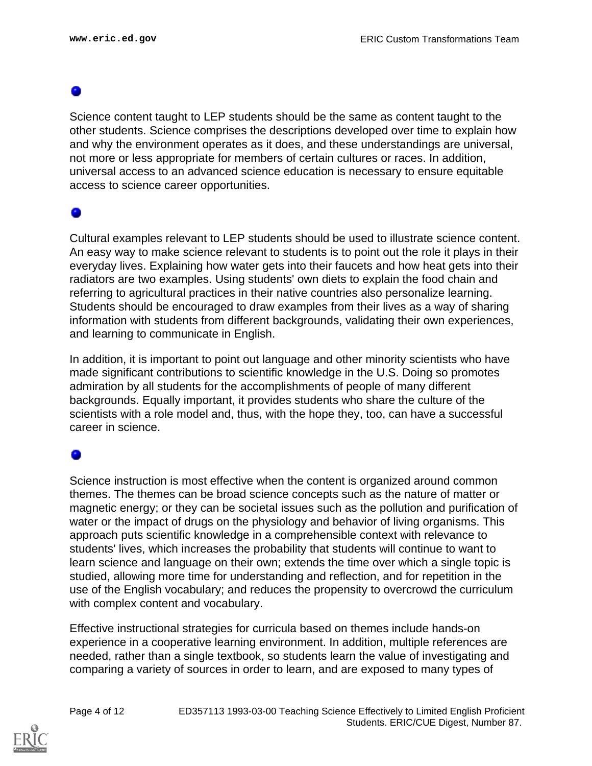Science content taught to LEP students should be the same as content taught to the other students. Science comprises the descriptions developed over time to explain how and why the environment operates as it does, and these understandings are universal, not more or less appropriate for members of certain cultures or races. In addition, universal access to an advanced science education is necessary to ensure equitable access to science career opportunities.

### ۰

Cultural examples relevant to LEP students should be used to illustrate science content. An easy way to make science relevant to students is to point out the role it plays in their everyday lives. Explaining how water gets into their faucets and how heat gets into their radiators are two examples. Using students' own diets to explain the food chain and referring to agricultural practices in their native countries also personalize learning. Students should be encouraged to draw examples from their lives as a way of sharing information with students from different backgrounds, validating their own experiences, and learning to communicate in English.

In addition, it is important to point out language and other minority scientists who have made significant contributions to scientific knowledge in the U.S. Doing so promotes admiration by all students for the accomplishments of people of many different backgrounds. Equally important, it provides students who share the culture of the scientists with a role model and, thus, with the hope they, too, can have a successful career in science.

### ۰

Science instruction is most effective when the content is organized around common themes. The themes can be broad science concepts such as the nature of matter or magnetic energy; or they can be societal issues such as the pollution and purification of water or the impact of drugs on the physiology and behavior of living organisms. This approach puts scientific knowledge in a comprehensible context with relevance to students' lives, which increases the probability that students will continue to want to learn science and language on their own; extends the time over which a single topic is studied, allowing more time for understanding and reflection, and for repetition in the use of the English vocabulary; and reduces the propensity to overcrowd the curriculum with complex content and vocabulary.

Effective instructional strategies for curricula based on themes include hands-on experience in a cooperative learning environment. In addition, multiple references are needed, rather than a single textbook, so students learn the value of investigating and comparing a variety of sources in order to learn, and are exposed to many types of

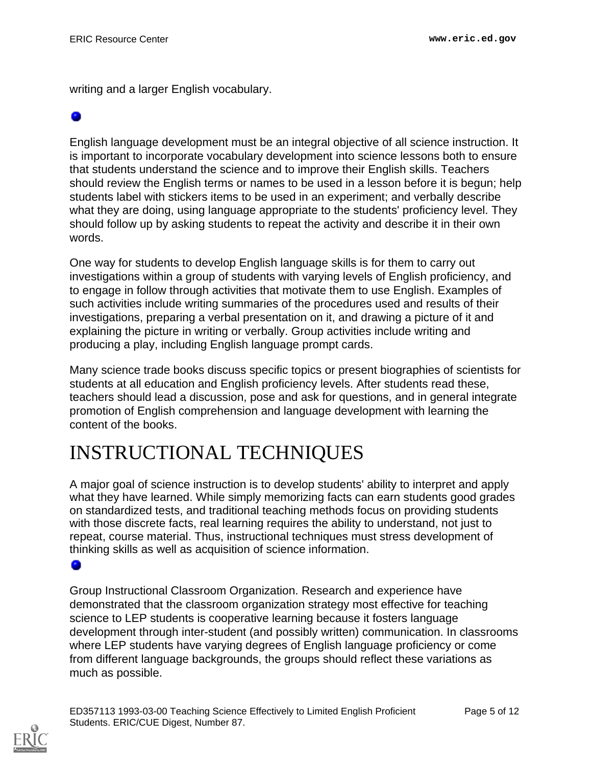writing and a larger English vocabulary.

English language development must be an integral objective of all science instruction. It is important to incorporate vocabulary development into science lessons both to ensure that students understand the science and to improve their English skills. Teachers should review the English terms or names to be used in a lesson before it is begun; help students label with stickers items to be used in an experiment; and verbally describe what they are doing, using language appropriate to the students' proficiency level. They should follow up by asking students to repeat the activity and describe it in their own words.

One way for students to develop English language skills is for them to carry out investigations within a group of students with varying levels of English proficiency, and to engage in follow through activities that motivate them to use English. Examples of such activities include writing summaries of the procedures used and results of their investigations, preparing a verbal presentation on it, and drawing a picture of it and explaining the picture in writing or verbally. Group activities include writing and producing a play, including English language prompt cards.

Many science trade books discuss specific topics or present biographies of scientists for students at all education and English proficiency levels. After students read these, teachers should lead a discussion, pose and ask for questions, and in general integrate promotion of English comprehension and language development with learning the content of the books.

## <span id="page-4-0"></span>INSTRUCTIONAL TECHNIQUES

A major goal of science instruction is to develop students' ability to interpret and apply what they have learned. While simply memorizing facts can earn students good grades on standardized tests, and traditional teaching methods focus on providing students with those discrete facts, real learning requires the ability to understand, not just to repeat, course material. Thus, instructional techniques must stress development of thinking skills as well as acquisition of science information.

o

Group Instructional Classroom Organization. Research and experience have demonstrated that the classroom organization strategy most effective for teaching science to LEP students is cooperative learning because it fosters language development through inter-student (and possibly written) communication. In classrooms where LEP students have varying degrees of English language proficiency or come from different language backgrounds, the groups should reflect these variations as much as possible.

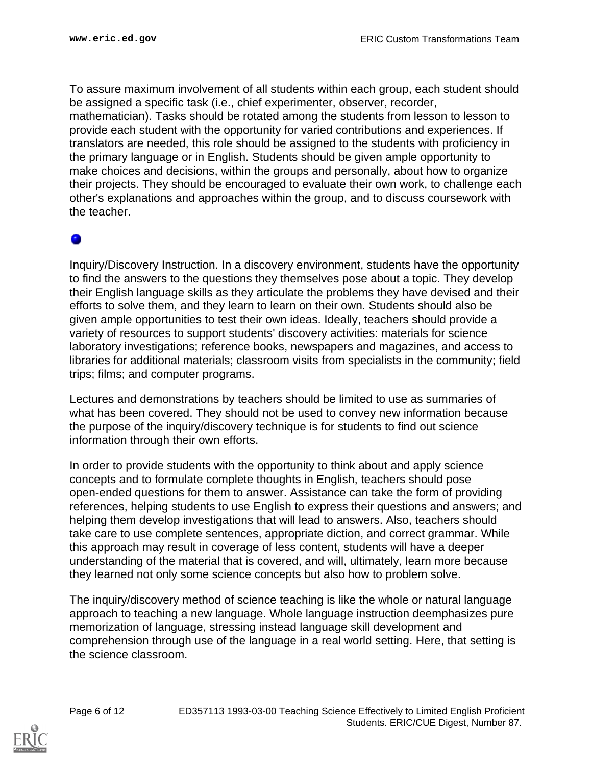To assure maximum involvement of all students within each group, each student should be assigned a specific task (i.e., chief experimenter, observer, recorder, mathematician). Tasks should be rotated among the students from lesson to lesson to provide each student with the opportunity for varied contributions and experiences. If translators are needed, this role should be assigned to the students with proficiency in the primary language or in English. Students should be given ample opportunity to make choices and decisions, within the groups and personally, about how to organize their projects. They should be encouraged to evaluate their own work, to challenge each other's explanations and approaches within the group, and to discuss coursework with the teacher.

Inquiry/Discovery Instruction. In a discovery environment, students have the opportunity to find the answers to the questions they themselves pose about a topic. They develop their English language skills as they articulate the problems they have devised and their efforts to solve them, and they learn to learn on their own. Students should also be given ample opportunities to test their own ideas. Ideally, teachers should provide a variety of resources to support students' discovery activities: materials for science laboratory investigations; reference books, newspapers and magazines, and access to libraries for additional materials; classroom visits from specialists in the community; field trips; films; and computer programs.

Lectures and demonstrations by teachers should be limited to use as summaries of what has been covered. They should not be used to convey new information because the purpose of the inquiry/discovery technique is for students to find out science information through their own efforts.

In order to provide students with the opportunity to think about and apply science concepts and to formulate complete thoughts in English, teachers should pose open-ended questions for them to answer. Assistance can take the form of providing references, helping students to use English to express their questions and answers; and helping them develop investigations that will lead to answers. Also, teachers should take care to use complete sentences, appropriate diction, and correct grammar. While this approach may result in coverage of less content, students will have a deeper understanding of the material that is covered, and will, ultimately, learn more because they learned not only some science concepts but also how to problem solve.

The inquiry/discovery method of science teaching is like the whole or natural language approach to teaching a new language. Whole language instruction deemphasizes pure memorization of language, stressing instead language skill development and comprehension through use of the language in a real world setting. Here, that setting is the science classroom.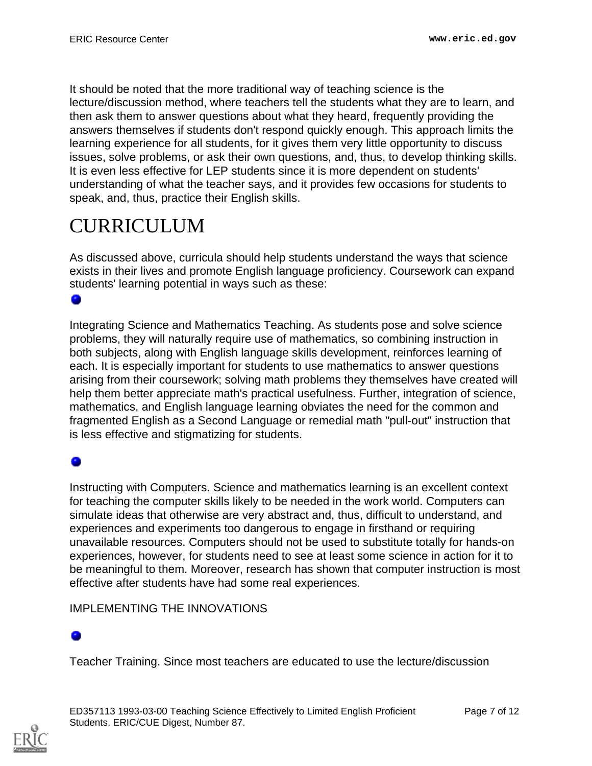It should be noted that the more traditional way of teaching science is the lecture/discussion method, where teachers tell the students what they are to learn, and then ask them to answer questions about what they heard, frequently providing the answers themselves if students don't respond quickly enough. This approach limits the learning experience for all students, for it gives them very little opportunity to discuss issues, solve problems, or ask their own questions, and, thus, to develop thinking skills. It is even less effective for LEP students since it is more dependent on students' understanding of what the teacher says, and it provides few occasions for students to speak, and, thus, practice their English skills.

# <span id="page-6-0"></span>CURRICULUM

As discussed above, curricula should help students understand the ways that science exists in their lives and promote English language proficiency. Coursework can expand students' learning potential in ways such as these:

### 0

Integrating Science and Mathematics Teaching. As students pose and solve science problems, they will naturally require use of mathematics, so combining instruction in both subjects, along with English language skills development, reinforces learning of each. It is especially important for students to use mathematics to answer questions arising from their coursework; solving math problems they themselves have created will help them better appreciate math's practical usefulness. Further, integration of science, mathematics, and English language learning obviates the need for the common and fragmented English as a Second Language or remedial math "pull-out" instruction that is less effective and stigmatizing for students.

### ۰

Instructing with Computers. Science and mathematics learning is an excellent context for teaching the computer skills likely to be needed in the work world. Computers can simulate ideas that otherwise are very abstract and, thus, difficult to understand, and experiences and experiments too dangerous to engage in firsthand or requiring unavailable resources. Computers should not be used to substitute totally for hands-on experiences, however, for students need to see at least some science in action for it to be meaningful to them. Moreover, research has shown that computer instruction is most effective after students have had some real experiences.

### IMPLEMENTING THE INNOVATIONS

Teacher Training. Since most teachers are educated to use the lecture/discussion

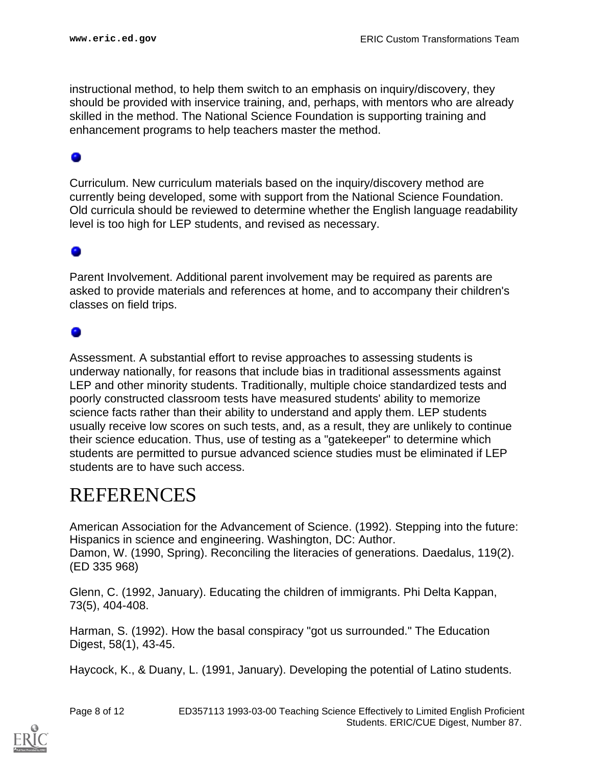instructional method, to help them switch to an emphasis on inquiry/discovery, they should be provided with inservice training, and, perhaps, with mentors who are already skilled in the method. The National Science Foundation is supporting training and enhancement programs to help teachers master the method.

Curriculum. New curriculum materials based on the inquiry/discovery method are currently being developed, some with support from the National Science Foundation. Old curricula should be reviewed to determine whether the English language readability level is too high for LEP students, and revised as necessary.

Parent Involvement. Additional parent involvement may be required as parents are asked to provide materials and references at home, and to accompany their children's classes on field trips.

Assessment. A substantial effort to revise approaches to assessing students is underway nationally, for reasons that include bias in traditional assessments against LEP and other minority students. Traditionally, multiple choice standardized tests and poorly constructed classroom tests have measured students' ability to memorize science facts rather than their ability to understand and apply them. LEP students usually receive low scores on such tests, and, as a result, they are unlikely to continue their science education. Thus, use of testing as a "gatekeeper" to determine which students are permitted to pursue advanced science studies must be eliminated if LEP students are to have such access.

## <span id="page-7-0"></span>REFERENCES

American Association for the Advancement of Science. (1992). Stepping into the future: Hispanics in science and engineering. Washington, DC: Author. Damon, W. (1990, Spring). Reconciling the literacies of generations. Daedalus, 119(2). (ED 335 968)

Glenn, C. (1992, January). Educating the children of immigrants. Phi Delta Kappan, 73(5), 404-408.

Harman, S. (1992). How the basal conspiracy "got us surrounded." The Education Digest, 58(1), 43-45.

Haycock, K., & Duany, L. (1991, January). Developing the potential of Latino students.

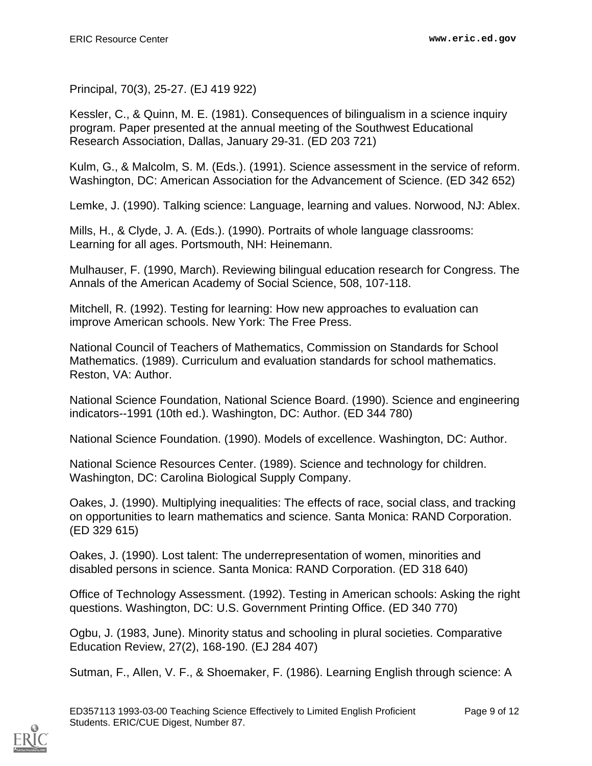Principal, 70(3), 25-27. (EJ 419 922)

Kessler, C., & Quinn, M. E. (1981). Consequences of bilingualism in a science inquiry program. Paper presented at the annual meeting of the Southwest Educational Research Association, Dallas, January 29-31. (ED 203 721)

Kulm, G., & Malcolm, S. M. (Eds.). (1991). Science assessment in the service of reform. Washington, DC: American Association for the Advancement of Science. (ED 342 652)

Lemke, J. (1990). Talking science: Language, learning and values. Norwood, NJ: Ablex.

Mills, H., & Clyde, J. A. (Eds.). (1990). Portraits of whole language classrooms: Learning for all ages. Portsmouth, NH: Heinemann.

Mulhauser, F. (1990, March). Reviewing bilingual education research for Congress. The Annals of the American Academy of Social Science, 508, 107-118.

Mitchell, R. (1992). Testing for learning: How new approaches to evaluation can improve American schools. New York: The Free Press.

National Council of Teachers of Mathematics, Commission on Standards for School Mathematics. (1989). Curriculum and evaluation standards for school mathematics. Reston, VA: Author.

National Science Foundation, National Science Board. (1990). Science and engineering indicators--1991 (10th ed.). Washington, DC: Author. (ED 344 780)

National Science Foundation. (1990). Models of excellence. Washington, DC: Author.

National Science Resources Center. (1989). Science and technology for children. Washington, DC: Carolina Biological Supply Company.

Oakes, J. (1990). Multiplying inequalities: The effects of race, social class, and tracking on opportunities to learn mathematics and science. Santa Monica: RAND Corporation. (ED 329 615)

Oakes, J. (1990). Lost talent: The underrepresentation of women, minorities and disabled persons in science. Santa Monica: RAND Corporation. (ED 318 640)

Office of Technology Assessment. (1992). Testing in American schools: Asking the right questions. Washington, DC: U.S. Government Printing Office. (ED 340 770)

Ogbu, J. (1983, June). Minority status and schooling in plural societies. Comparative Education Review, 27(2), 168-190. (EJ 284 407)

Sutman, F., Allen, V. F., & Shoemaker, F. (1986). Learning English through science: A

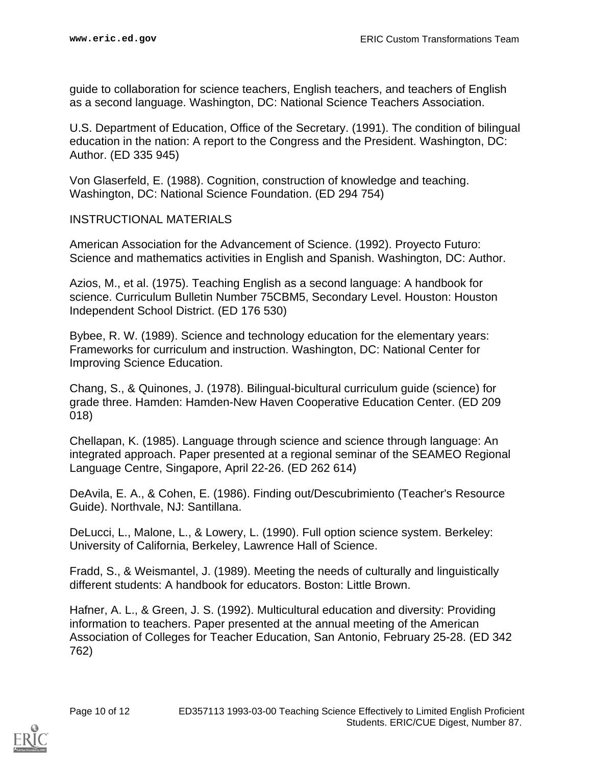guide to collaboration for science teachers, English teachers, and teachers of English as a second language. Washington, DC: National Science Teachers Association.

U.S. Department of Education, Office of the Secretary. (1991). The condition of bilingual education in the nation: A report to the Congress and the President. Washington, DC: Author. (ED 335 945)

Von Glaserfeld, E. (1988). Cognition, construction of knowledge and teaching. Washington, DC: National Science Foundation. (ED 294 754)

### INSTRUCTIONAL MATERIALS

American Association for the Advancement of Science. (1992). Proyecto Futuro: Science and mathematics activities in English and Spanish. Washington, DC: Author.

Azios, M., et al. (1975). Teaching English as a second language: A handbook for science. Curriculum Bulletin Number 75CBM5, Secondary Level. Houston: Houston Independent School District. (ED 176 530)

Bybee, R. W. (1989). Science and technology education for the elementary years: Frameworks for curriculum and instruction. Washington, DC: National Center for Improving Science Education.

Chang, S., & Quinones, J. (1978). Bilingual-bicultural curriculum guide (science) for grade three. Hamden: Hamden-New Haven Cooperative Education Center. (ED 209 018)

Chellapan, K. (1985). Language through science and science through language: An integrated approach. Paper presented at a regional seminar of the SEAMEO Regional Language Centre, Singapore, April 22-26. (ED 262 614)

DeAvila, E. A., & Cohen, E. (1986). Finding out/Descubrimiento (Teacher's Resource Guide). Northvale, NJ: Santillana.

DeLucci, L., Malone, L., & Lowery, L. (1990). Full option science system. Berkeley: University of California, Berkeley, Lawrence Hall of Science.

Fradd, S., & Weismantel, J. (1989). Meeting the needs of culturally and linguistically different students: A handbook for educators. Boston: Little Brown.

Hafner, A. L., & Green, J. S. (1992). Multicultural education and diversity: Providing information to teachers. Paper presented at the annual meeting of the American Association of Colleges for Teacher Education, San Antonio, February 25-28. (ED 342 762)

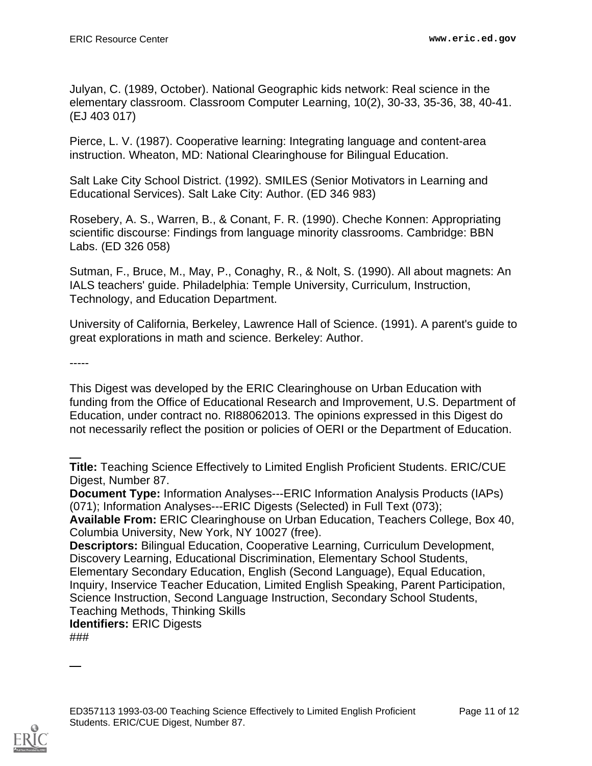Julyan, C. (1989, October). National Geographic kids network: Real science in the elementary classroom. Classroom Computer Learning, 10(2), 30-33, 35-36, 38, 40-41. (EJ 403 017)

Pierce, L. V. (1987). Cooperative learning: Integrating language and content-area instruction. Wheaton, MD: National Clearinghouse for Bilingual Education.

Salt Lake City School District. (1992). SMILES (Senior Motivators in Learning and Educational Services). Salt Lake City: Author. (ED 346 983)

Rosebery, A. S., Warren, B., & Conant, F. R. (1990). Cheche Konnen: Appropriating scientific discourse: Findings from language minority classrooms. Cambridge: BBN Labs. (ED 326 058)

Sutman, F., Bruce, M., May, P., Conaghy, R., & Nolt, S. (1990). All about magnets: An IALS teachers' guide. Philadelphia: Temple University, Curriculum, Instruction, Technology, and Education Department.

University of California, Berkeley, Lawrence Hall of Science. (1991). A parent's guide to great explorations in math and science. Berkeley: Author.

-----

This Digest was developed by the ERIC Clearinghouse on Urban Education with funding from the Office of Educational Research and Improvement, U.S. Department of Education, under contract no. RI88062013. The opinions expressed in this Digest do not necessarily reflect the position or policies of OERI or the Department of Education.

**Title:** Teaching Science Effectively to Limited English Proficient Students. ERIC/CUE Digest, Number 87.

**Document Type:** Information Analyses---ERIC Information Analysis Products (IAPs) (071); Information Analyses---ERIC Digests (Selected) in Full Text (073);

**Available From:** ERIC Clearinghouse on Urban Education, Teachers College, Box 40, Columbia University, New York, NY 10027 (free).

**Descriptors:** Bilingual Education, Cooperative Learning, Curriculum Development, Discovery Learning, Educational Discrimination, Elementary School Students, Elementary Secondary Education, English (Second Language), Equal Education, Inquiry, Inservice Teacher Education, Limited English Speaking, Parent Participation, Science Instruction, Second Language Instruction, Secondary School Students, Teaching Methods, Thinking Skills **Identifiers:** ERIC Digests

###